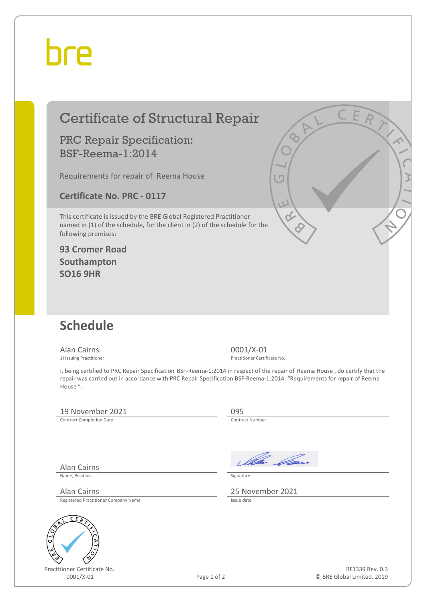## bre

| <b>Certificate of Structural Repair</b>                                                                                                                                                                                                                           |                              |  |
|-------------------------------------------------------------------------------------------------------------------------------------------------------------------------------------------------------------------------------------------------------------------|------------------------------|--|
| <b>PRC Repair Specification:</b><br><b>BSF-Reema-1:2014</b>                                                                                                                                                                                                       |                              |  |
| Requirements for repair of Reema House                                                                                                                                                                                                                            |                              |  |
| <b>Certificate No. PRC - 0117</b>                                                                                                                                                                                                                                 |                              |  |
| This certificate is issued by the BRE Global Registered Practitioner<br>named in (1) of the schedule, for the client in (2) of the schedule for the<br>following premises:                                                                                        |                              |  |
| 93 Cromer Road<br>Southampton<br><b>SO16 9HR</b>                                                                                                                                                                                                                  |                              |  |
| <b>Schedule</b>                                                                                                                                                                                                                                                   |                              |  |
| <b>Alan Cairns</b>                                                                                                                                                                                                                                                | 0001/X-01                    |  |
| 1) Issuing Practitioner                                                                                                                                                                                                                                           | Practitioner Certificate No. |  |
| I, being certified to PRC Repair Specification BSF-Reema-1:2014 in respect of the repair of Reema House, do certify that the<br>repair was carried out in accordance with PRC Repair Specification BSF-Reema-1:2014: "Requirements for repair of Reema<br>House". |                              |  |

## 19 November 2021 095<br>
Contract Completion Date Contract Number

Registered Practitioner Company Name

Contract Completion Date

Alan Cairns

Illa Can

Name, Position Signature

Alan Cairns 2021<br>Registered Practitioner Company Name 2021<br>Issue date



Practitioner Certificate No.